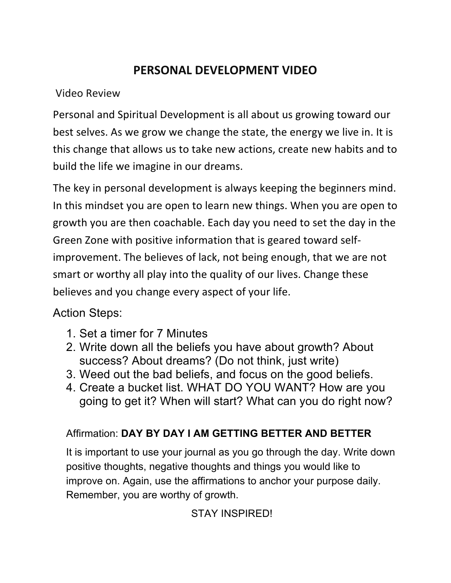## **PERSONAL DEVELOPMENT VIDEO**

Video Review

Personal and Spiritual Development is all about us growing toward our best selves. As we grow we change the state, the energy we live in. It is this change that allows us to take new actions, create new habits and to build the life we imagine in our dreams.

The key in personal development is always keeping the beginners mind. In this mindset you are open to learn new things. When you are open to growth you are then coachable. Each day you need to set the day in the Green Zone with positive information that is geared toward selfimprovement. The believes of lack, not being enough, that we are not smart or worthy all play into the quality of our lives. Change these believes and you change every aspect of your life.

Action Steps:

- 1. Set a timer for 7 Minutes
- 2. Write down all the beliefs you have about growth? About success? About dreams? (Do not think, just write)
- 3. Weed out the bad beliefs, and focus on the good beliefs.
- 4. Create a bucket list. WHAT DO YOU WANT? How are you going to get it? When will start? What can you do right now?

## Affirmation: **DAY BY DAY I AM GETTING BETTER AND BETTER**

It is important to use your journal as you go through the day. Write down positive thoughts, negative thoughts and things you would like to improve on. Again, use the affirmations to anchor your purpose daily. Remember, you are worthy of growth.

STAY INSPIRED!